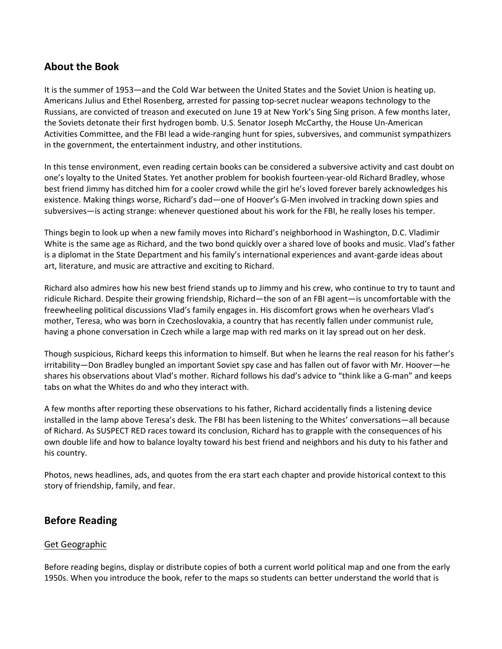## **About the Book**

It is the summer of 1953—and the Cold War between the United States and the Soviet Union is heating up. Americans Julius and Ethel Rosenberg, arrested for passing top-secret nuclear weapons technology to the Russians, are convicted of treason and executed on June 19 at New York's Sing Sing prison. A few months later, the Soviets detonate their first hydrogen bomb. U.S. Senator Joseph McCarthy, the House Un-American Activities Committee, and the FBI lead a wide-ranging hunt for spies, subversives, and communist sympathizers in the government, the entertainment industry, and other institutions.

In this tense environment, even reading certain books can be considered a subversive activity and cast doubt on one's loyalty to the United States. Yet another problem for bookish fourteen-year-old Richard Bradley, whose best friend Jimmy has ditched him for a cooler crowd while the girl he's loved forever barely acknowledges his existence. Making things worse, Richard's dad—one of Hoover's G-Men involved in tracking down spies and subversives—is acting strange: whenever questioned about his work for the FBI, he really loses his temper.

Things begin to look up when a new family moves into Richard's neighborhood in Washington, D.C. Vladimir White is the same age as Richard, and the two bond quickly over a shared love of books and music. Vlad's father is a diplomat in the State Department and his family's international experiences and avant-garde ideas about art, literature, and music are attractive and exciting to Richard.

Richard also admires how his new best friend stands up to Jimmy and his crew, who continue to try to taunt and ridicule Richard. Despite their growing friendship, Richard—the son of an FBI agent—is uncomfortable with the freewheeling political discussions Vlad's family engages in. His discomfort grows when he overhears Vlad's mother, Teresa, who was born in Czechoslovakia, a country that has recently fallen under communist rule, having a phone conversation in Czech while a large map with red marks on it lay spread out on her desk.

Though suspicious, Richard keeps this information to himself. But when he learns the real reason for his father's irritability—Don Bradley bungled an important Soviet spy case and has fallen out of favor with Mr. Hoover—he shares his observations about Vlad's mother. Richard follows his dad's advice to "think like a G-man" and keeps tabs on what the Whites do and who they interact with.

A few months after reporting these observations to his father, Richard accidentally finds a listening device installed in the lamp above Teresa's desk. The FBI has been listening to the Whites' conversations—all because of Richard. As SUSPECT RED races toward its conclusion, Richard has to grapple with the consequences of his own double life and how to balance loyalty toward his best friend and neighbors and his duty to his father and his country.

Photos, news headlines, ads, and quotes from the era start each chapter and provide historical context to this story of friendship, family, and fear.

## **Before Reading**

### Get Geographic

Before reading begins, display or distribute copies of both a current world political map and one from the early 1950s. When you introduce the book, refer to the maps so students can better understand the world that is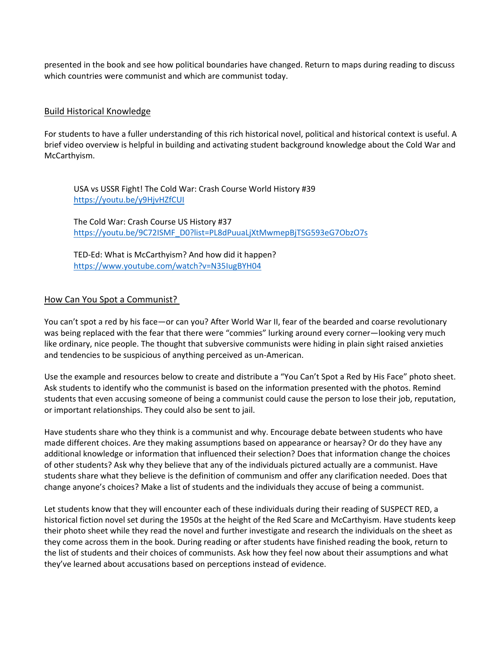presented in the book and see how political boundaries have changed. Return to maps during reading to discuss which countries were communist and which are communist today.

### Build Historical Knowledge

For students to have a fuller understanding of this rich historical novel, political and historical context is useful. A brief video overview is helpful in building and activating student background knowledge about the Cold War and McCarthyism.

USA vs USSR Fight! The Cold War: Crash Course World History #39 <https://youtu.be/y9HjvHZfCUI>

The Cold War: Crash Course US History #37 [https://youtu.be/9C72ISMF\\_D0?list=PL8dPuuaLjXtMwmepBjTSG593eG7ObzO7s](https://youtu.be/9C72ISMF_D0?list=PL8dPuuaLjXtMwmepBjTSG593eG7ObzO7s)

TED-Ed: What is McCarthyism? And how did it happen? <https://www.youtube.com/watch?v=N35IugBYH04>

### How Can You Spot a Communist?

You can't spot a red by his face—or can you? After World War II, fear of the bearded and coarse revolutionary was being replaced with the fear that there were "commies" lurking around every corner—looking very much like ordinary, nice people. The thought that subversive communists were hiding in plain sight raised anxieties and tendencies to be suspicious of anything perceived as un-American.

Use the example and resources below to create and distribute a "You Can't Spot a Red by His Face" photo sheet. Ask students to identify who the communist is based on the information presented with the photos. Remind students that even accusing someone of being a communist could cause the person to lose their job, reputation, or important relationships. They could also be sent to jail.

Have students share who they think is a communist and why. Encourage debate between students who have made different choices. Are they making assumptions based on appearance or hearsay? Or do they have any additional knowledge or information that influenced their selection? Does that information change the choices of other students? Ask why they believe that any of the individuals pictured actually are a communist. Have students share what they believe is the definition of communism and offer any clarification needed. Does that change anyone's choices? Make a list of students and the individuals they accuse of being a communist.

Let students know that they will encounter each of these individuals during their reading of SUSPECT RED, a historical fiction novel set during the 1950s at the height of the Red Scare and McCarthyism. Have students keep their photo sheet while they read the novel and further investigate and research the individuals on the sheet as they come across them in the book. During reading or after students have finished reading the book, return to the list of students and their choices of communists. Ask how they feel now about their assumptions and what they've learned about accusations based on perceptions instead of evidence.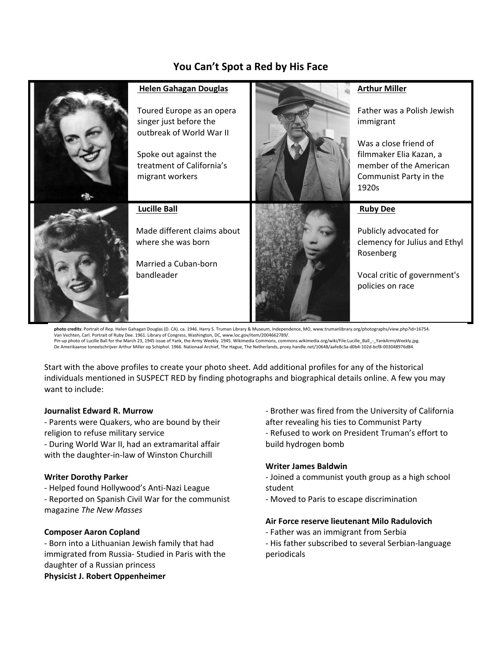# **You Can't Spot a Red by His Face**



**photo credits**: Portrait of Rep. Helen Gahagan Douglas (D. CA). ca. 1946. Harry S. Truman Library & Museum, Independence, MO, www.trumanlibrary.org/photographs/view.php?id=16754. Van Vechten, Carl. Portrait of Ruby Dee. 1961. Library of Congress, Washington, DC, www.loc.gov/item/2004662789/. Pin-up photo of Lucille Ball for the March 23, 1945 issue of Yank, the Army Weekly. 1945. Wikimedia Commons, commons.wikimedia.org/wiki/File:Lucille\_Ball\_-\_YankArmyWeekly.jpg.<br>De Amerikaanse toneelschrijver Arthur Miller o

Start with the above profiles to create your photo sheet. Add additional profiles for any of the historical individuals mentioned in SUSPECT RED by finding photographs and biographical details online. A few you may want to include:

### **Journalist Edward R. Murrow**

- Parents were Quakers, who are bound by their religion to refuse military service

- During World War II, had an extramarital affair with the daughter-in-law of Winston Churchill

### **Writer Dorothy Parker**

- Helped found Hollywood's Anti-Nazi League

- Reported on Spanish Civil War for the communist magazine *The New Masses*

#### **Composer Aaron Copland**

- Born into a Lithuanian Jewish family that had immigrated from Russia- Studied in Paris with the daughter of a Russian princess **Physicist J. Robert Oppenheimer**

- Brother was fired from the University of California after revealing his ties to Communist Party - Refused to work on President Truman's effort to build hydrogen bomb

### **Writer James Baldwin**

- Joined a communist youth group as a high school student

- Moved to Paris to escape discrimination

#### **Air Force reserve lieutenant Milo Radulovich**

- Father was an immigrant from Serbia

- His father subscribed to several Serbian-language periodicals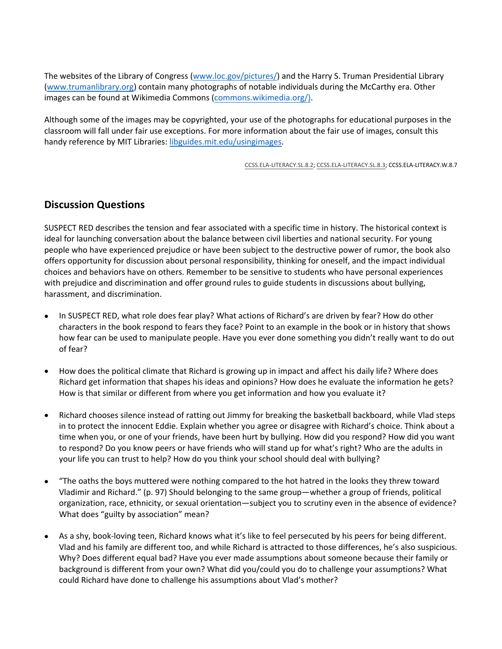The websites of the Library of Congress [\(www.loc.gov/pictures/\)](http://www.loc.gov/pictures/) and the Harry S. Truman Presidential Library [\(www.trumanlibrary.org](http://www.trumanlibrary.org/)) contain many photographs of notable individuals during the McCarthy era. Other images can be found at Wikimedia Commons [\(commons.wikimedia.org/\)](https://commons.wikimedia.org/wiki/Main_Page).

Although some of the images may be copyrighted, your use of the photographs for educational purposes in the classroom will fall under fair use exceptions. For more information about the fair use of images, consult this handy reference by MIT Libraries: [libguides.mit.edu/usingimages.](http://libguides.mit.edu/usingimages)

[CCSS.ELA-LITERACY.SL.8.2](http://www.corestandards.org/ELA-Literacy/SL/8/2/); [CCSS.ELA-LITERACY.SL.8.3](http://www.corestandards.org/ELA-Literacy/SL/8/3/); CCSS.ELA-LITERACY.W.8.7

# **Discussion Questions**

SUSPECT RED describes the tension and fear associated with a specific time in history. The historical context is ideal for launching conversation about the balance between civil liberties and national security. For young people who have experienced prejudice or have been subject to the destructive power of rumor, the book also offers opportunity for discussion about personal responsibility, thinking for oneself, and the impact individual choices and behaviors have on others. Remember to be sensitive to students who have personal experiences with prejudice and discrimination and offer ground rules to guide students in discussions about bullying, harassment, and discrimination.

- In SUSPECT RED, what role does fear play? What actions of Richard's are driven by fear? How do other characters in the book respond to fears they face? Point to an example in the book or in history that shows how fear can be used to manipulate people. Have you ever done something you didn't really want to do out of fear?
- How does the political climate that Richard is growing up in impact and affect his daily life? Where does Richard get information that shapes his ideas and opinions? How does he evaluate the information he gets? How is that similar or different from where you get information and how you evaluate it?
- Richard chooses silence instead of ratting out Jimmy for breaking the basketball backboard, while Vlad steps in to protect the innocent Eddie. Explain whether you agree or disagree with Richard's choice. Think about a time when you, or one of your friends, have been hurt by bullying. How did you respond? How did you want to respond? Do you know peers or have friends who will stand up for what's right? Who are the adults in your life you can trust to help? How do you think your school should deal with bullying?
- "The oaths the boys muttered were nothing compared to the hot hatred in the looks they threw toward Vladimir and Richard." (p. 97) Should belonging to the same group—whether a group of friends, political organization, race, ethnicity, or sexual orientation—subject you to scrutiny even in the absence of evidence? What does "guilty by association" mean?
- As a shy, book-loving teen, Richard knows what it's like to feel persecuted by his peers for being different. Vlad and his family are different too, and while Richard is attracted to those differences, he's also suspicious. Why? Does different equal bad? Have you ever made assumptions about someone because their family or background is different from your own? What did you/could you do to challenge your assumptions? What could Richard have done to challenge his assumptions about Vlad's mother?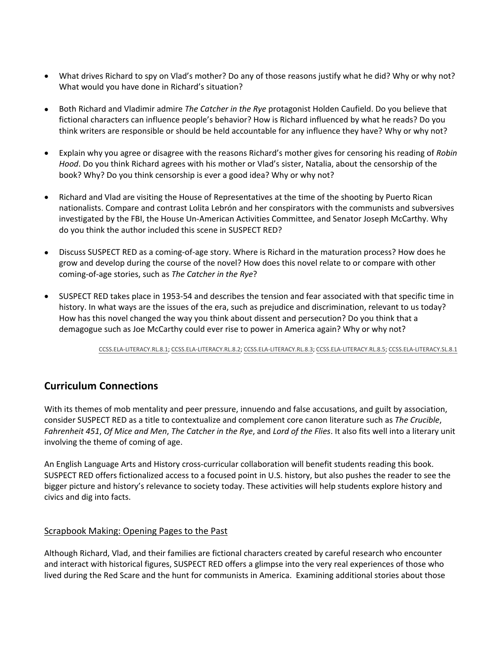- What drives Richard to spy on Vlad's mother? Do any of those reasons justify what he did? Why or why not? What would you have done in Richard's situation?
- Both Richard and Vladimir admire *The Catcher in the Rye* protagonist Holden Caufield. Do you believe that fictional characters can influence people's behavior? How is Richard influenced by what he reads? Do you think writers are responsible or should be held accountable for any influence they have? Why or why not?
- Explain why you agree or disagree with the reasons Richard's mother gives for censoring his reading of *Robin Hood*. Do you think Richard agrees with his mother or Vlad's sister, Natalia, about the censorship of the book? Why? Do you think censorship is ever a good idea? Why or why not?
- Richard and Vlad are visiting the House of Representatives at the time of the shooting by Puerto Rican nationalists. Compare and contrast Lolita Lebrón and her conspirators with the communists and subversives investigated by the FBI, the House Un-American Activities Committee, and Senator Joseph McCarthy. Why do you think the author included this scene in SUSPECT RED?
- Discuss SUSPECT RED as a coming-of-age story. Where is Richard in the maturation process? How does he grow and develop during the course of the novel? How does this novel relate to or compare with other coming-of-age stories, such as *The Catcher in the Rye*?
- SUSPECT RED takes place in 1953-54 and describes the tension and fear associated with that specific time in history. In what ways are the issues of the era, such as prejudice and discrimination, relevant to us today? How has this novel changed the way you think about dissent and persecution? Do you think that a demagogue such as Joe McCarthy could ever rise to power in America again? Why or why not?

[CCSS.ELA-LITERACY.RL.8.1](http://www.corestandards.org/ELA-Literacy/RL/8/1/); [CCSS.ELA-LITERACY.RL.8.2](http://www.corestandards.org/ELA-Literacy/RL/8/2/); [CCSS.ELA-LITERACY.RL.8.3;](http://www.corestandards.org/ELA-Literacy/RL/8/3/) [CCSS.ELA-LITERACY.RL.8.5](http://www.corestandards.org/ELA-Literacy/RL/8/5/); [CCSS.ELA-LITERACY.SL.8.1](http://www.corestandards.org/ELA-Literacy/SL/8/1/)

# **Curriculum Connections**

With its themes of mob mentality and peer pressure, innuendo and false accusations, and guilt by association, consider SUSPECT RED as a title to contextualize and complement core canon literature such as *The Crucible*, *Fahrenheit 451*, *Of Mice and Men*, *The Catcher in the Rye*, and *Lord of the Flies*. It also fits well into a literary unit involving the theme of coming of age.

An English Language Arts and History cross-curricular collaboration will benefit students reading this book. SUSPECT RED offers fictionalized access to a focused point in U.S. history, but also pushes the reader to see the bigger picture and history's relevance to society today. These activities will help students explore history and civics and dig into facts.

### Scrapbook Making: Opening Pages to the Past

Although Richard, Vlad, and their families are fictional characters created by careful research who encounter and interact with historical figures, SUSPECT RED offers a glimpse into the very real experiences of those who lived during the Red Scare and the hunt for communists in America. Examining additional stories about those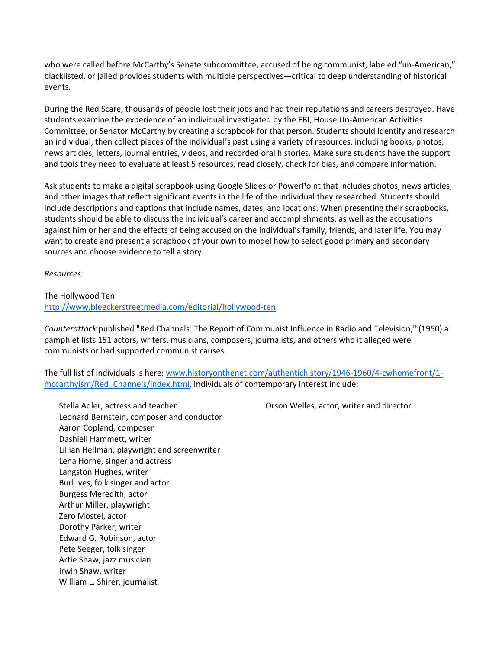who were called before McCarthy's Senate subcommittee, accused of being communist, labeled "un-American," blacklisted, or jailed provides students with multiple perspectives—critical to deep understanding of historical events.

During the Red Scare, thousands of people lost their jobs and had their reputations and careers destroyed. Have students examine the experience of an individual investigated by the FBI, House Un-American Activities Committee, or Senator McCarthy by creating a scrapbook for that person. Students should identify and research an individual, then collect pieces of the individual's past using a variety of resources, including books, photos, news articles, letters, journal entries, videos, and recorded oral histories. Make sure students have the support and tools they need to evaluate at least 5 resources, read closely, check for bias, and compare information.

Ask students to make a digital scrapbook using Google Slides or PowerPoint that includes photos, news articles, and other images that reflect significant events in the life of the individual they researched. Students should include descriptions and captions that include names, dates, and locations. When presenting their scrapbooks, students should be able to discuss the individual's career and accomplishments, as well as the accusations against him or her and the effects of being accused on the individual's family, friends, and later life. You may want to create and present a scrapbook of your own to model how to select good primary and secondary sources and choose evidence to tell a story.

*Resources:*

### The Hollywood Ten <http://www.bleeckerstreetmedia.com/editorial/hollywood-ten>

*Counterattack* published "Red Channels: The Report of Communist Influence in Radio and Television," (1950) a pamphlet lists 151 actors, writers, musicians, composers, journalists, and others who it alleged were communists or had supported communist causes.

The full list of individuals is here: [www.historyonthenet.com/authentichistory/1946-1960/4-cwhomefront/1](http://www.historyonthenet.com/authentichistory/1946-1960/4-cwhomefront/1-mccarthyism/Red_Channels/index.html) [mccarthyism/Red\\_Channels/index.html](http://www.historyonthenet.com/authentichistory/1946-1960/4-cwhomefront/1-mccarthyism/Red_Channels/index.html). Individuals of contemporary interest include:

Stella Adler, actress and teacher Leonard Bernstein, composer and conductor Aaron Copland, composer Dashiell Hammett, writer Lillian Hellman, playwright and screenwriter Lena Horne, singer and actress Langston Hughes, writer Burl Ives, folk singer and actor Burgess Meredith, actor Arthur Miller, playwright Zero Mostel, actor Dorothy Parker, writer Edward G. Robinson, actor Pete Seeger, folk singer Artie Shaw, jazz musician Irwin Shaw, writer William L. Shirer, journalist

Orson Welles, actor, writer and director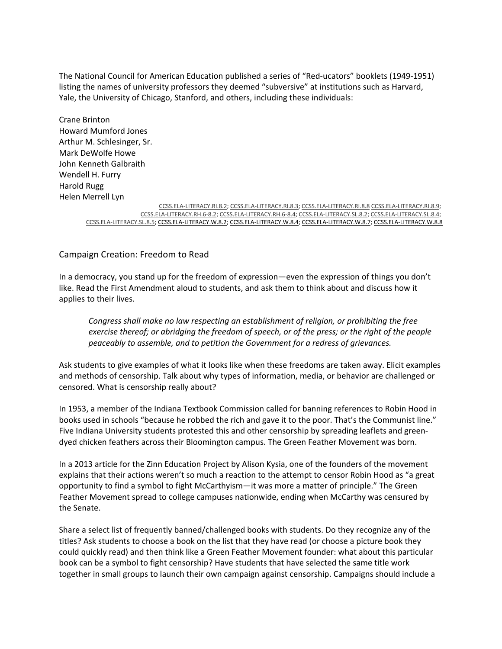The National Council for American Education published a series of "Red-ucators" booklets (1949-1951) listing the names of university professors they deemed "subversive" at institutions such as Harvard, Yale, the University of Chicago, Stanford, and others, including these individuals:

Crane Brinton Howard Mumford Jones Arthur M. Schlesinger, Sr. Mark DeWolfe Howe John Kenneth Galbraith Wendell H. Furry Harold Rugg Helen Merrell Lyn [CCSS.ELA-LITERACY.RI.8.2](http://www.corestandards.org/ELA-Literacy/RI/8/2/); [CCSS.ELA-LITERACY.RI.8.3](http://www.corestandards.org/ELA-Literacy/RI/8/3/); [CCSS.ELA-LITERACY.RI.8.8](http://www.corestandards.org/ELA-Literacy/RI/8/8/) [CCSS.ELA-LITERACY.RI.8.9](http://www.corestandards.org/ELA-Literacy/RI/8/9/); [CCSS.ELA-LITERACY.RH.6-8.2](http://www.corestandards.org/ELA-Literacy/RH/6-8/2/); [CCSS.ELA-LITERACY.RH.6-8.4;](http://www.corestandards.org/ELA-Literacy/RH/6-8/4/) [CCSS.ELA-LITERACY.SL.8.2](http://www.corestandards.org/ELA-Literacy/SL/8/2/); [CCSS.ELA-LITERACY.SL.8.4](http://www.corestandards.org/ELA-Literacy/SL/8/4/); [CCSS.ELA-LITERACY.SL.8.5;](http://www.corestandards.org/ELA-Literacy/SL/8/5/) [CCSS.ELA-LITERACY.W.8.2;](http://www.corestandards.org/ELA-Literacy/W/8/2/) [CCSS.ELA-LITERACY.W.8.4](http://www.corestandards.org/ELA-Literacy/W/8/4/); [CCSS.ELA-LITERACY.W.8.7](http://www.corestandards.org/ELA-Literacy/W/8/7/); [CCSS.ELA-LITERACY.W.8.8](http://www.corestandards.org/ELA-Literacy/W/8/8/)

### Campaign Creation: Freedom to Read

In a democracy, you stand up for the freedom of expression—even the expression of things you don't like. Read the First Amendment aloud to students, and ask them to think about and discuss how it applies to their lives.

*Congress shall make no law respecting an establishment of religion, or prohibiting the free exercise thereof; or abridging the freedom of speech, or of the press; or the right of the people peaceably to assemble, and to petition the Government for a redress of grievances.*

Ask students to give examples of what it looks like when these freedoms are taken away. Elicit examples and methods of censorship. Talk about why types of information, media, or behavior are challenged or censored. What is censorship really about?

In 1953, a member of the Indiana Textbook Commission called for banning references to Robin Hood in books used in schools "because he robbed the rich and gave it to the poor. That's the Communist line." Five Indiana University students protested this and other censorship by spreading leaflets and greendyed chicken feathers across their Bloomington campus. The Green Feather Movement was born.

In a 2013 article for the Zinn Education Project by Alison Kysia, one of the founders of the movement explains that their actions weren't so much a reaction to the attempt to censor Robin Hood as "a great opportunity to find a symbol to fight McCarthyism—it was more a matter of principle." The Green Feather Movement spread to college campuses nationwide, ending when McCarthy was censured by the Senate.

Share a select list of frequently banned/challenged books with students. Do they recognize any of the titles? Ask students to choose a book on the list that they have read (or choose a picture book they could quickly read) and then think like a Green Feather Movement founder: what about this particular book can be a symbol to fight censorship? Have students that have selected the same title work together in small groups to launch their own campaign against censorship. Campaigns should include a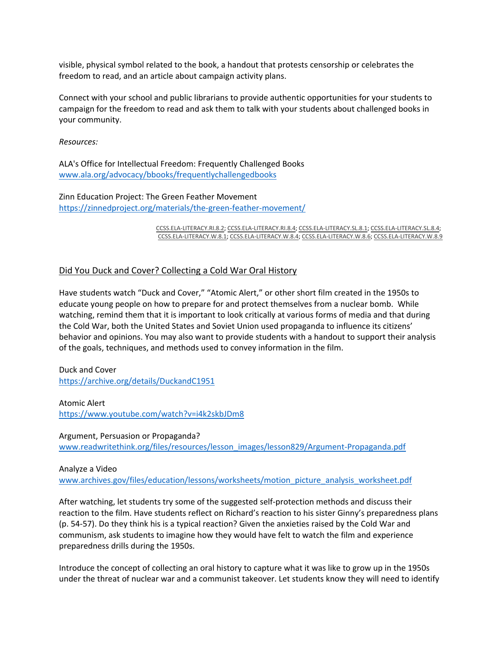visible, physical symbol related to the book, a handout that protests censorship or celebrates the freedom to read, and an article about campaign activity plans.

Connect with your school and public librarians to provide authentic opportunities for your students to campaign for the freedom to read and ask them to talk with your students about challenged books in your community.

*Resources:*

ALA's Office for Intellectual Freedom: Frequently Challenged Books [www.ala.org/advocacy/bbooks/frequentlychallengedbooks](http://www.ala.org/advocacy/bbooks/frequentlychallengedbooks)

Zinn Education Project: The Green Feather Movement <https://zinnedproject.org/materials/the-green-feather-movement/>

> [CCSS.ELA-LITERACY.RI.8.2;](http://www.corestandards.org/ELA-Literacy/RI/8/2/) [CCSS.ELA-LITERACY.RI.8.4;](http://www.corestandards.org/ELA-Literacy/RI/8/4/) [CCSS.ELA-LITERACY.SL.8.1](http://www.corestandards.org/ELA-Literacy/SL/8/1/); [CCSS.ELA-LITERACY.SL.8.4](http://www.corestandards.org/ELA-Literacy/SL/8/4/); [CCSS.ELA-LITERACY.W.8.1;](http://www.corestandards.org/ELA-Literacy/W/8/1/) [CCSS.ELA-LITERACY.W.8.4](http://www.corestandards.org/ELA-Literacy/W/8/4/); [CCSS.ELA-LITERACY.W.8.6](http://www.corestandards.org/ELA-Literacy/W/8/6/); [CCSS.ELA-LITERACY.W.8.9](http://www.corestandards.org/ELA-Literacy/W/8/9/)

### Did You Duck and Cover? Collecting a Cold War Oral History

Have students watch "Duck and Cover," "Atomic Alert," or other short film created in the 1950s to educate young people on how to prepare for and protect themselves from a nuclear bomb. While watching, remind them that it is important to look critically at various forms of media and that during the Cold War, both the United States and Soviet Union used propaganda to influence its citizens' behavior and opinions. You may also want to provide students with a handout to support their analysis of the goals, techniques, and methods used to convey information in the film.

Duck and Cover <https://archive.org/details/DuckandC1951>

Atomic Alert <https://www.youtube.com/watch?v=i4k2skbJDm8>

Argument, Persuasion or Propaganda? [www.readwritethink.org/files/resources/lesson\\_images/lesson829/Argument-Propaganda.pdf](http://www.readwritethink.org/files/resources/lesson_images/lesson829/Argument-Propaganda.pdf)

Analyze a Video

[www.archives.gov/files/education/lessons/worksheets/motion\\_picture\\_analysis\\_worksheet.pdf](http://www.archives.gov/files/education/lessons/worksheets/motion_picture_analysis_worksheet.pdf)

After watching, let students try some of the suggested self-protection methods and discuss their reaction to the film. Have students reflect on Richard's reaction to his sister Ginny's preparedness plans (p. 54-57). Do they think his is a typical reaction? Given the anxieties raised by the Cold War and communism, ask students to imagine how they would have felt to watch the film and experience preparedness drills during the 1950s.

Introduce the concept of collecting an oral history to capture what it was like to grow up in the 1950s under the threat of nuclear war and a communist takeover. Let students know they will need to identify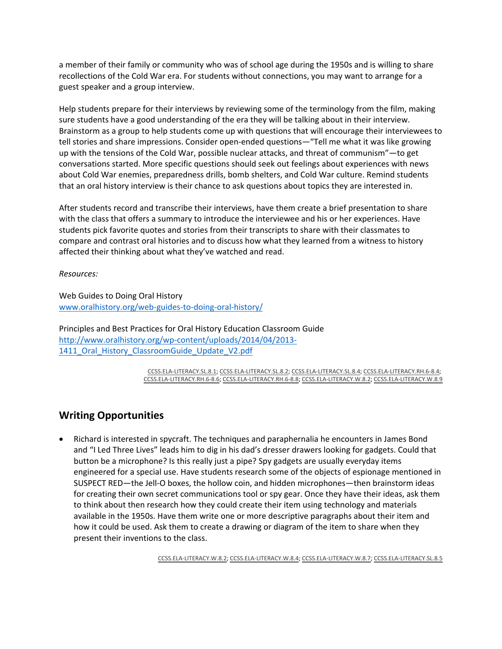a member of their family or community who was of school age during the 1950s and is willing to share recollections of the Cold War era. For students without connections, you may want to arrange for a guest speaker and a group interview.

Help students prepare for their interviews by reviewing some of the terminology from the film, making sure students have a good understanding of the era they will be talking about in their interview. Brainstorm as a group to help students come up with questions that will encourage their interviewees to tell stories and share impressions. Consider open-ended questions—"Tell me what it was like growing up with the tensions of the Cold War, possible nuclear attacks, and threat of communism"—to get conversations started. More specific questions should seek out feelings about experiences with news about Cold War enemies, preparedness drills, bomb shelters, and Cold War culture. Remind students that an oral history interview is their chance to ask questions about topics they are interested in.

After students record and transcribe their interviews, have them create a brief presentation to share with the class that offers a summary to introduce the interviewee and his or her experiences. Have students pick favorite quotes and stories from their transcripts to share with their classmates to compare and contrast oral histories and to discuss how what they learned from a witness to history affected their thinking about what they've watched and read.

*Resources:*

Web Guides to Doing Oral History [www.oralhistory.org/web-guides-to-doing-oral-history/](http://www.oralhistory.org/web-guides-to-doing-oral-history/)

Principles and Best Practices for Oral History Education Classroom Guide [http://www.oralhistory.org/wp-content/uploads/2014/04/2013-](http://www.oralhistory.org/wp-content/uploads/2014/04/2013-1411_Oral_History_ClassroomGuide_Update_V2.pdf) [1411\\_Oral\\_History\\_ClassroomGuide\\_Update\\_V2.pdf](http://www.oralhistory.org/wp-content/uploads/2014/04/2013-1411_Oral_History_ClassroomGuide_Update_V2.pdf)

> [CCSS.ELA-LITERACY.SL.8.1](http://www.corestandards.org/ELA-Literacy/SL/8/1/); [CCSS.ELA-LITERACY.SL.8.2;](http://www.corestandards.org/ELA-Literacy/SL/8/2/) [CCSS.ELA-LITERACY.SL.8.4;](http://www.corestandards.org/ELA-Literacy/SL/8/4/) [CCSS.ELA-LITERACY.RH.6-8.4](http://www.corestandards.org/ELA-Literacy/RH/6-8/4/); [CCSS.ELA-LITERACY.RH.6-8.6;](http://www.corestandards.org/ELA-Literacy/RH/6-8/6/) [CCSS.ELA-LITERACY.RH.6-8.8](http://www.corestandards.org/ELA-Literacy/RH/6-8/8/); [CCSS.ELA-LITERACY.W.8.2](http://www.corestandards.org/ELA-Literacy/W/8/2/); [CCSS.ELA-LITERACY.W.8.9](http://www.corestandards.org/ELA-Literacy/W/8/9/)

## **Writing Opportunities**

 Richard is interested in spycraft. The techniques and paraphernalia he encounters in James Bond and "I Led Three Lives" leads him to dig in his dad's dresser drawers looking for gadgets. Could that button be a microphone? Is this really just a pipe? Spy gadgets are usually everyday items engineered for a special use. Have students research some of the objects of espionage mentioned in SUSPECT RED—the Jell-O boxes, the hollow coin, and hidden microphones—then brainstorm ideas for creating their own secret communications tool or spy gear. Once they have their ideas, ask them to think about then research how they could create their item using technology and materials available in the 1950s. Have them write one or more descriptive paragraphs about their item and how it could be used. Ask them to create a drawing or diagram of the item to share when they present their inventions to the class.

[CCSS.ELA-LITERACY.W.8.2;](http://www.corestandards.org/ELA-Literacy/W/8/2/) [CCSS.ELA-LITERACY.W.8.4](http://www.corestandards.org/ELA-Literacy/W/8/4/); [CCSS.ELA-LITERACY.W.8.7](http://www.corestandards.org/ELA-Literacy/W/8/7/); [CCSS.ELA-LITERACY.SL.8.5](http://www.corestandards.org/ELA-Literacy/SL/8/5/)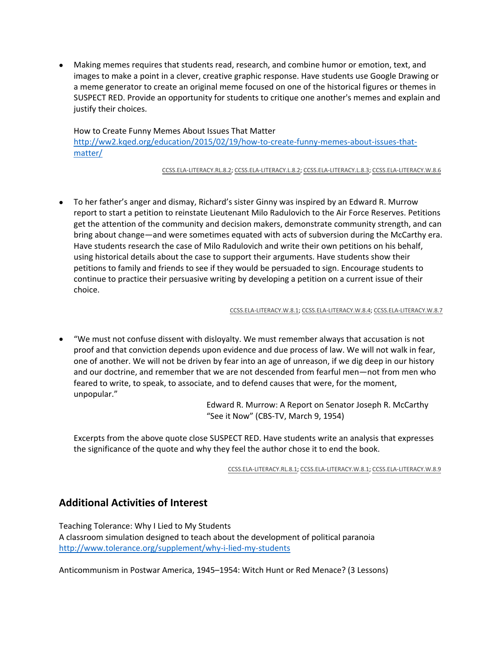Making memes requires that students read, research, and combine humor or emotion, text, and images to make a point in a clever, creative graphic response. Have students use Google Drawing or a meme generator to create an original meme focused on one of the historical figures or themes in SUSPECT RED. Provide an opportunity for students to critique one another's memes and explain and justify their choices.

How to Create Funny Memes About Issues That Matter [http://ww2.kqed.org/education/2015/02/19/how-to-create-funny-memes-about-issues-that](http://ww2.kqed.org/education/2015/02/19/how-to-create-funny-memes-about-issues-that-matter/)[matter/](http://ww2.kqed.org/education/2015/02/19/how-to-create-funny-memes-about-issues-that-matter/)

[CCSS.ELA-LITERACY.RL.8.2](http://www.corestandards.org/ELA-Literacy/RL/8/2/); [CCSS.ELA-LITERACY.L.8.2](http://www.corestandards.org/ELA-Literacy/L/8/2/); [CCSS.ELA-LITERACY.L.8.3](http://www.corestandards.org/ELA-Literacy/L/8/3/); [CCSS.ELA-LITERACY.W.8.6](http://www.corestandards.org/ELA-Literacy/W/8/6/)

 To her father's anger and dismay, Richard's sister Ginny was inspired by an Edward R. Murrow report to start a petition to reinstate Lieutenant Milo Radulovich to the Air Force Reserves. Petitions get the attention of the community and decision makers, demonstrate community strength, and can bring about change—and were sometimes equated with acts of subversion during the McCarthy era. Have students research the case of Milo Radulovich and write their own petitions on his behalf, using historical details about the case to support their arguments. Have students show their petitions to family and friends to see if they would be persuaded to sign. Encourage students to continue to practice their persuasive writing by developing a petition on a current issue of their choice.

[CCSS.ELA-LITERACY.W.8.1](http://www.corestandards.org/ELA-Literacy/W/8/1/); [CCSS.ELA-LITERACY.W.8.4](http://www.corestandards.org/ELA-Literacy/W/8/4/); [CCSS.ELA-LITERACY.W.8.7](http://www.corestandards.org/ELA-Literacy/W/8/7/)

 "We must not confuse dissent with disloyalty. We must remember always that accusation is not proof and that conviction depends upon evidence and due process of law. We will not walk in fear, one of another. We will not be driven by fear into an age of unreason, if we dig deep in our history and our doctrine, and remember that we are not descended from fearful men—not from men who feared to write, to speak, to associate, and to defend causes that were, for the moment, unpopular."

> Edward R. Murrow: A Report on Senator Joseph R. McCarthy "See it Now" (CBS-TV, March 9, 1954)

Excerpts from the above quote close SUSPECT RED. Have students write an analysis that expresses the significance of the quote and why they feel the author chose it to end the book.

[CCSS.ELA-LITERACY.RL.8.1;](http://www.corestandards.org/ELA-Literacy/RL/8/1/) [CCSS.ELA-LITERACY.W.8.1](http://www.corestandards.org/ELA-Literacy/W/8/1/); [CCSS.ELA-LITERACY.W.8.9](http://www.corestandards.org/ELA-Literacy/W/8/9/)

## **Additional Activities of Interest**

Teaching Tolerance: Why I Lied to My Students A classroom simulation designed to teach about the development of political paranoia <http://www.tolerance.org/supplement/why-i-lied-my-students>

Anticommunism in Postwar America, 1945–1954: Witch Hunt or Red Menace? (3 Lessons)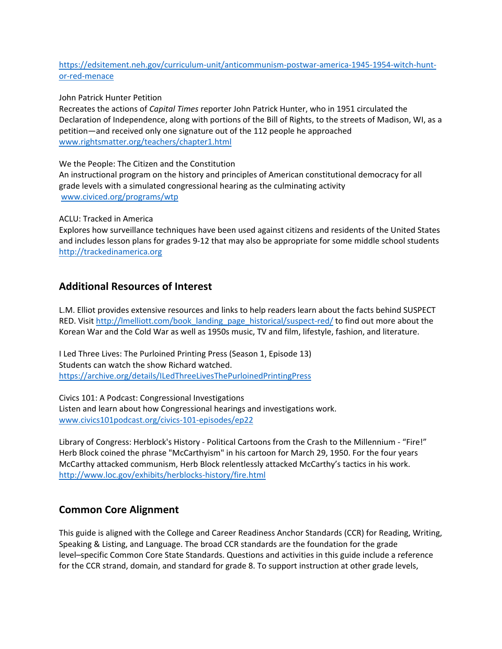[https://edsitement.neh.gov/curriculum-unit/anticommunism-postwar-america-1945-1954-witch-hunt](https://edsitement.neh.gov/curriculum-unit/anticommunism-postwar-america-1945-1954-witch-hunt-or-red-menace)[or-red-menace](https://edsitement.neh.gov/curriculum-unit/anticommunism-postwar-america-1945-1954-witch-hunt-or-red-menace)

John Patrick Hunter Petition

Recreates the actions of *Capital Times* reporter John Patrick Hunter, who in 1951 circulated the Declaration of Independence, along with portions of the Bill of Rights, to the streets of Madison, WI, as a petition—and received only one signature out of the 112 people he approached [www.rightsmatter.org/teachers/chapter1.html](http://www.rightsmatter.org/teachers/chapter1.html)

We the People: The Citizen and the Constitution An instructional program on the history and principles of American constitutional democracy for all grade levels with a simulated congressional hearing as the culminating activity [www.civiced.org/programs/wtp](http://www.civiced.org/programs/wtp)

### ACLU: Tracked in America

Explores how surveillance techniques have been used against citizens and residents of the United States and includes lesson plans for grades 9-12 that may also be appropriate for some middle school students <http://trackedinamerica.org>

## **Additional Resources of Interest**

L.M. Elliot provides extensive resources and links to help readers learn about the facts behind SUSPECT RED. Visit [http://lmelliott.com/book\\_landing\\_page\\_historical/suspect-red/](http://lmelliott.com/book_landing_page_historical/suspect-red/) to find out more about the Korean War and the Cold War as well as 1950s music, TV and film, lifestyle, fashion, and literature.

I Led Three Lives: The Purloined Printing Press (Season 1, Episode 13) Students can watch the show Richard watched. <https://archive.org/details/ILedThreeLivesThePurloinedPrintingPress>

Civics 101: A Podcast: Congressional Investigations Listen and learn about how Congressional hearings and investigations work. [www.civics101podcast.org/civics-101-episodes/ep22](http://www.civics101podcast.org/civics-101-episodes/ep22)

Library of Congress: Herblock's History - Political Cartoons from the Crash to the Millennium - "Fire!" Herb Block coined the phrase "McCarthyism" in his cartoon for March 29, 1950. For the four years McCarthy attacked communism, Herb Block relentlessly attacked McCarthy's tactics in his work. <http://www.loc.gov/exhibits/herblocks-history/fire.html>

### **Common Core Alignment**

This guide is aligned with the College and Career Readiness Anchor Standards (CCR) for Reading, Writing, Speaking & Listing, and Language. The broad CCR standards are the foundation for the grade level–specific Common Core State Standards. Questions and activities in this guide include a reference for the CCR strand, domain, and standard for grade 8. To support instruction at other grade levels,